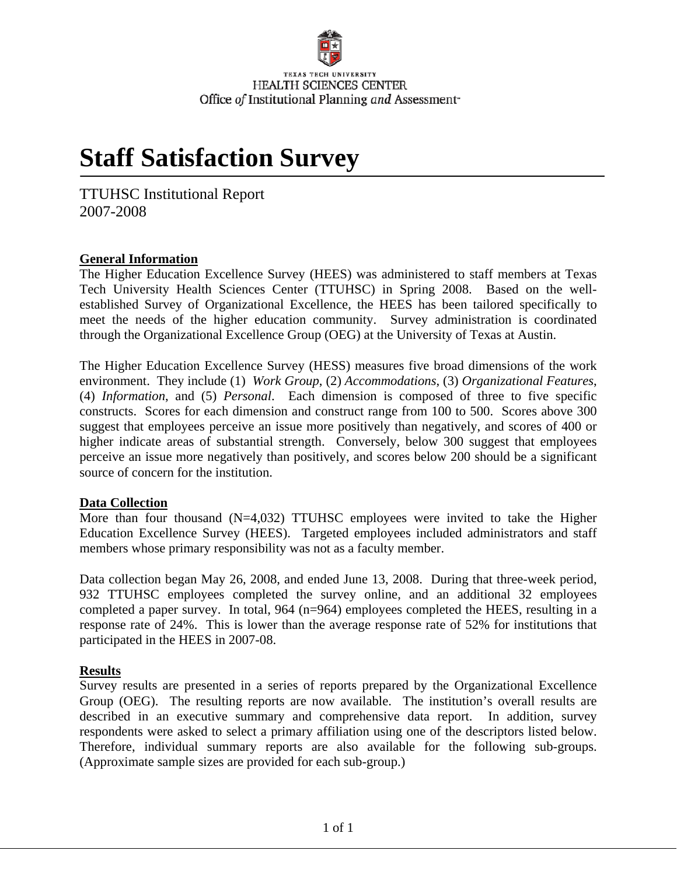# **Staff Satisfaction Survey**

TTUHSC Institutional Report 2007-2008

#### **General Information**

The Higher Education Excellence Survey (HEES) was administered to staff members at Texas Tech University Health Sciences Center (TTUHSC) in Spring 2008. Based on the wellestablished Survey of Organizational Excellence, the HEES has been tailored specifically to meet the needs of the higher education community. Survey administration is coordinated through the Organizational Excellence Group (OEG) at the University of Texas at Austin.

The Higher Education Excellence Survey (HESS) measures five broad dimensions of the work environment. They include (1) *Work Group*, (2) *Accommodations*, (3) *Organizational Features*, (4) *Information*, and (5) *Personal*. Each dimension is composed of three to five specific constructs. Scores for each dimension and construct range from 100 to 500. Scores above 300 suggest that employees perceive an issue more positively than negatively, and scores of 400 or higher indicate areas of substantial strength. Conversely, below 300 suggest that employees perceive an issue more negatively than positively, and scores below 200 should be a significant source of concern for the institution.

#### **Data Collection**

More than four thousand (N=4,032) TTUHSC employees were invited to take the Higher Education Excellence Survey (HEES). Targeted employees included administrators and staff members whose primary responsibility was not as a faculty member.

Data collection began May 26, 2008, and ended June 13, 2008. During that three-week period, 932 TTUHSC employees completed the survey online, and an additional 32 employees completed a paper survey. In total, 964 (n=964) employees completed the HEES, resulting in a response rate of 24%. This is lower than the average response rate of 52% for institutions that participated in the HEES in 2007-08.

#### **Results**

Survey results are presented in a series of reports prepared by the Organizational Excellence Group (OEG). The resulting reports are now available. The institution's overall results are described in an executive summary and comprehensive data report. In addition, survey respondents were asked to select a primary affiliation using one of the descriptors listed below. Therefore, individual summary reports are also available for the following sub-groups. (Approximate sample sizes are provided for each sub-group.)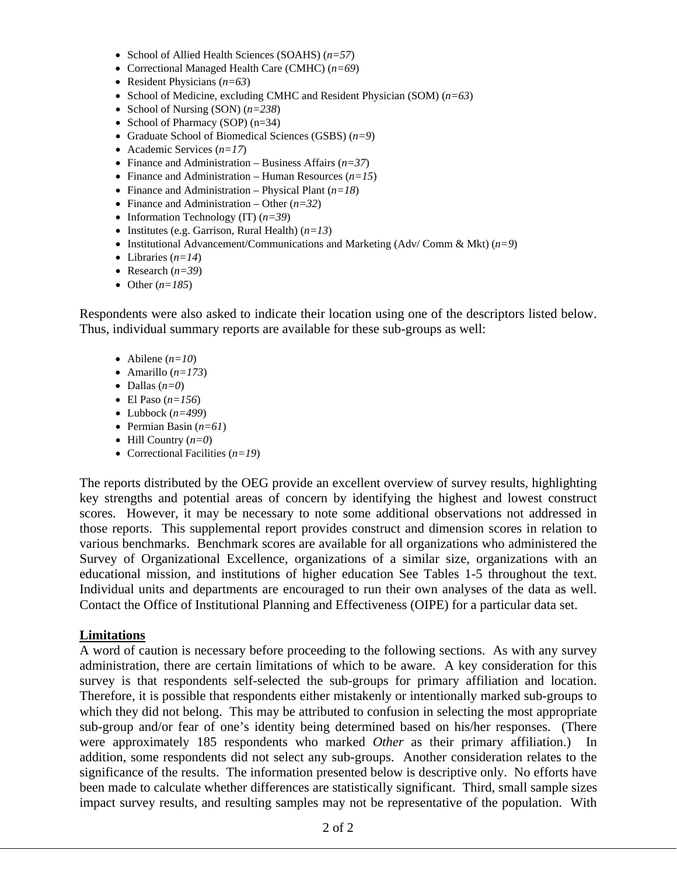- School of Allied Health Sciences (SOAHS) (*n=57*)
- Correctional Managed Health Care (CMHC) (*n=69*)
- Resident Physicians (*n=63*)
- School of Medicine, excluding CMHC and Resident Physician (SOM) (*n=63*)
- School of Nursing (SON) (*n=238*)
- School of Pharmacy (SOP) (n=34)
- Graduate School of Biomedical Sciences (GSBS) (*n=9*)
- Academic Services (*n=17*)
- Finance and Administration Business Affairs (*n=37*)
- Finance and Administration Human Resources (*n=15*)
- Finance and Administration Physical Plant (*n=18*)
- Finance and Administration Other (*n=32*)
- Information Technology (IT) (*n=39*)
- Institutes (e.g. Garrison, Rural Health) (*n=13*)
- Institutional Advancement/Communications and Marketing (Adv/ Comm & Mkt) (*n=9*)
- Libraries (*n=14*)
- Research  $(n=39)$
- Other  $(n=185)$

Respondents were also asked to indicate their location using one of the descriptors listed below. Thus, individual summary reports are available for these sub-groups as well:

- Abilene  $(n=10)$
- Amarillo  $(n=173)$
- Dallas  $(n=0)$
- El Paso  $(n=156)$
- Lubbock  $(n=499)$
- Permian Basin (*n=61*)
- Hill Country (*n=0*)
- Correctional Facilities (*n=19*)

The reports distributed by the OEG provide an excellent overview of survey results, highlighting key strengths and potential areas of concern by identifying the highest and lowest construct scores. However, it may be necessary to note some additional observations not addressed in those reports. This supplemental report provides construct and dimension scores in relation to various benchmarks. Benchmark scores are available for all organizations who administered the Survey of Organizational Excellence, organizations of a similar size, organizations with an educational mission, and institutions of higher education See Tables 1-5 throughout the text. Individual units and departments are encouraged to run their own analyses of the data as well. Contact the Office of Institutional Planning and Effectiveness (OIPE) for a particular data set.

#### **Limitations**

A word of caution is necessary before proceeding to the following sections. As with any survey administration, there are certain limitations of which to be aware. A key consideration for this survey is that respondents self-selected the sub-groups for primary affiliation and location. Therefore, it is possible that respondents either mistakenly or intentionally marked sub-groups to which they did not belong. This may be attributed to confusion in selecting the most appropriate sub-group and/or fear of one's identity being determined based on his/her responses. (There were approximately 185 respondents who marked *Other* as their primary affiliation.) In addition, some respondents did not select any sub-groups. Another consideration relates to the significance of the results. The information presented below is descriptive only. No efforts have been made to calculate whether differences are statistically significant. Third, small sample sizes impact survey results, and resulting samples may not be representative of the population. With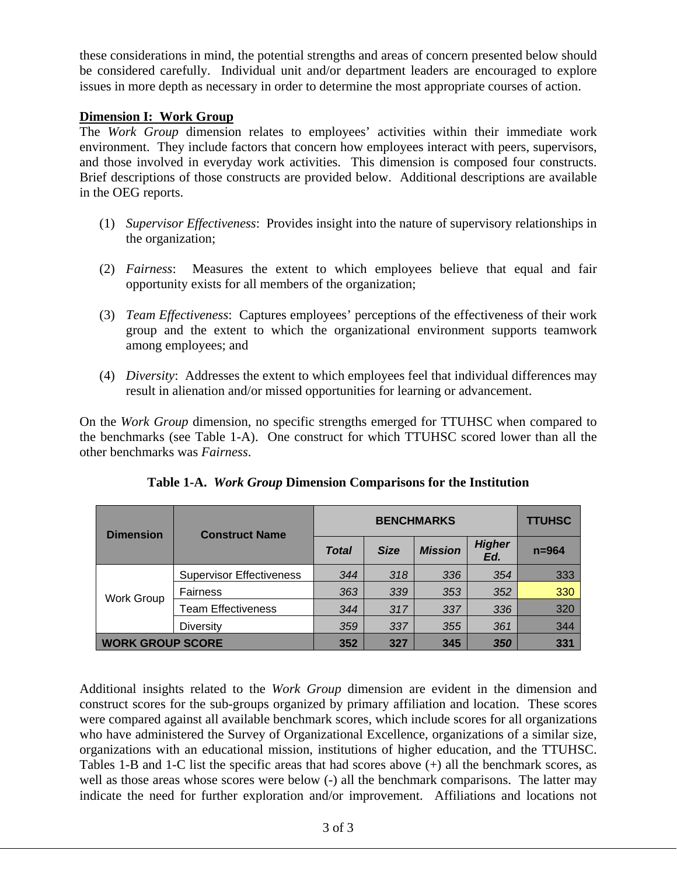these considerations in mind, the potential strengths and areas of concern presented below should be considered carefully. Individual unit and/or department leaders are encouraged to explore issues in more depth as necessary in order to determine the most appropriate courses of action.

#### **Dimension I: Work Group**

The *Work Group* dimension relates to employees' activities within their immediate work environment. They include factors that concern how employees interact with peers, supervisors, and those involved in everyday work activities. This dimension is composed four constructs. Brief descriptions of those constructs are provided below. Additional descriptions are available in the OEG reports.

- (1) *Supervisor Effectiveness*: Provides insight into the nature of supervisory relationships in the organization;
- (2) *Fairness*: Measures the extent to which employees believe that equal and fair opportunity exists for all members of the organization;
- (3) *Team Effectiveness*: Captures employees' perceptions of the effectiveness of their work group and the extent to which the organizational environment supports teamwork among employees; and
- (4) *Diversity*: Addresses the extent to which employees feel that individual differences may result in alienation and/or missed opportunities for learning or advancement.

On the *Work Group* dimension, no specific strengths emerged for TTUHSC when compared to the benchmarks (see Table 1-A). One construct for which TTUHSC scored lower than all the other benchmarks was *Fairness*.

| <b>Dimension</b>        | <b>Construct Name</b>           |              | <b>TTUHSC</b> |                |                      |           |
|-------------------------|---------------------------------|--------------|---------------|----------------|----------------------|-----------|
|                         |                                 | <b>Total</b> | <b>Size</b>   | <b>Mission</b> | <b>Higher</b><br>Ed. | $n = 964$ |
| <b>Work Group</b>       | <b>Supervisor Effectiveness</b> | 344          | 318           | 336            | 354                  | 333       |
|                         | <b>Fairness</b>                 | 363          | 339           | 353            | 352                  | 330       |
|                         | <b>Team Effectiveness</b>       | 344          | 317           | 337            | 336                  | 320       |
|                         | <b>Diversity</b>                | 359          | 337           | 355            | 361                  | 344       |
| <b>WORK GROUP SCORE</b> |                                 | 352          | 327           | 345            | 350                  | 331       |

**Table 1-A.** *Work Group* **Dimension Comparisons for the Institution** 

Additional insights related to the *Work Group* dimension are evident in the dimension and construct scores for the sub-groups organized by primary affiliation and location. These scores were compared against all available benchmark scores, which include scores for all organizations who have administered the Survey of Organizational Excellence, organizations of a similar size, organizations with an educational mission, institutions of higher education, and the TTUHSC. Tables 1-B and 1-C list the specific areas that had scores above (+) all the benchmark scores, as well as those areas whose scores were below (-) all the benchmark comparisons. The latter may indicate the need for further exploration and/or improvement. Affiliations and locations not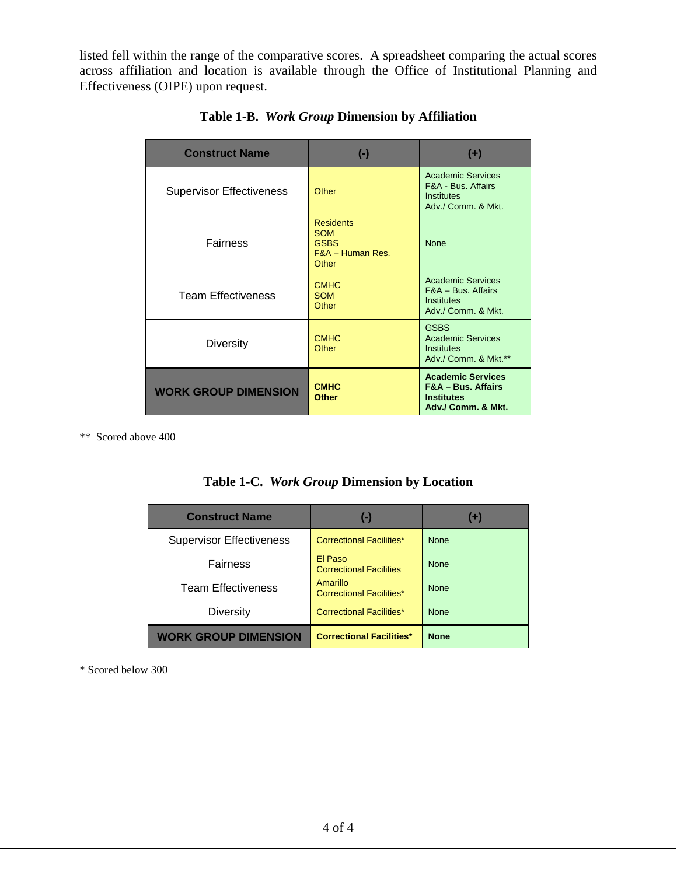listed fell within the range of the comparative scores. A spreadsheet comparing the actual scores across affiliation and location is available through the Office of Institutional Planning and Effectiveness (OIPE) upon request.

| <b>Construct Name</b>           | $(\textnormal{-})$                                                           | $(+)$                                                                                                |
|---------------------------------|------------------------------------------------------------------------------|------------------------------------------------------------------------------------------------------|
| <b>Supervisor Effectiveness</b> | Other                                                                        | <b>Academic Services</b><br>F&A - Bus, Affairs<br>Institutes<br>Adv./ Comm. & Mkt.                   |
| <b>Fairness</b>                 | <b>Residents</b><br><b>SOM</b><br><b>GSBS</b><br>$F&A$ – Human Res.<br>Other | <b>None</b>                                                                                          |
| <b>Team Effectiveness</b>       | <b>CMHC</b><br><b>SOM</b><br>Other                                           | <b>Academic Services</b><br>F&A - Bus. Affairs<br>Institutes<br>Adv./ Comm. & Mkt.                   |
| <b>Diversity</b>                | <b>CMHC</b><br>Other                                                         | <b>GSBS</b><br><b>Academic Services</b><br><b>Institutes</b><br>Adv./ Comm. & Mkt.**                 |
| <b>WORK GROUP DIMENSION</b>     | <b>CMHC</b><br><b>Other</b>                                                  | <b>Academic Services</b><br><b>F&amp;A - Bus. Affairs</b><br><b>Institutes</b><br>Adv./ Comm. & Mkt. |

**Table 1-B.** *Work Group* **Dimension by Affiliation** 

\*\* Scored above 400

|  | Table 1-C. Work Group Dimension by Location |  |  |
|--|---------------------------------------------|--|--|
|--|---------------------------------------------|--|--|

| <b>Construct Name</b>           | $(-)$                                       | $(+)$       |
|---------------------------------|---------------------------------------------|-------------|
| <b>Supervisor Effectiveness</b> | <b>Correctional Facilities*</b>             | <b>None</b> |
| Fairness                        | El Paso<br><b>Correctional Facilities</b>   | <b>None</b> |
| <b>Team Effectiveness</b>       | Amarillo<br><b>Correctional Facilities*</b> | <b>None</b> |
| <b>Diversity</b>                | <b>Correctional Facilities*</b>             | <b>None</b> |
| <b>WORK GROUP DIMENSION</b>     | <b>Correctional Facilities*</b>             | <b>None</b> |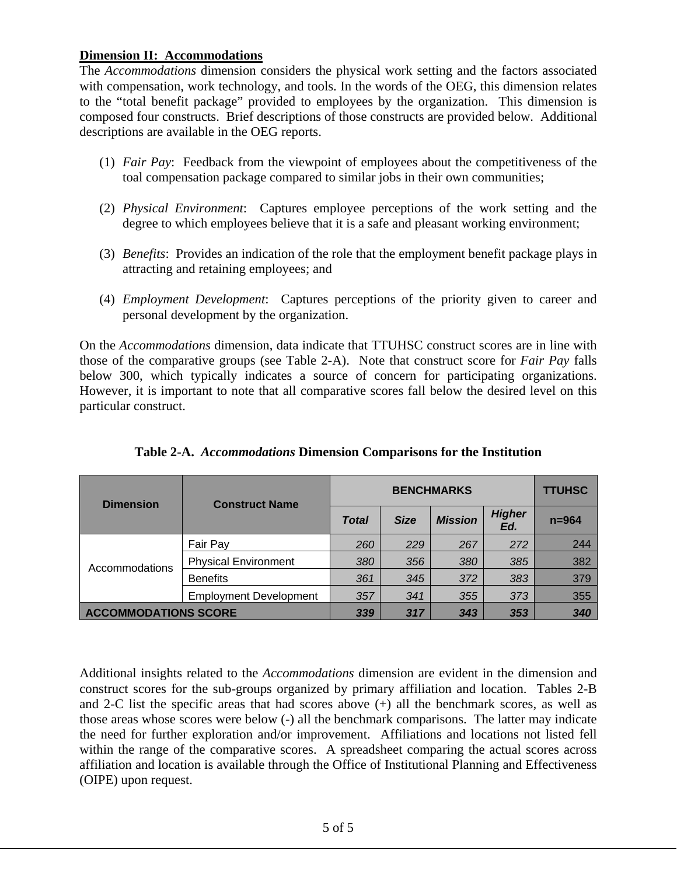#### **Dimension II: Accommodations**

The *Accommodations* dimension considers the physical work setting and the factors associated with compensation, work technology, and tools. In the words of the OEG, this dimension relates to the "total benefit package" provided to employees by the organization. This dimension is composed four constructs. Brief descriptions of those constructs are provided below. Additional descriptions are available in the OEG reports.

- (1) *Fair Pay*: Feedback from the viewpoint of employees about the competitiveness of the toal compensation package compared to similar jobs in their own communities;
- (2) *Physical Environment*: Captures employee perceptions of the work setting and the degree to which employees believe that it is a safe and pleasant working environment;
- (3) *Benefits*: Provides an indication of the role that the employment benefit package plays in attracting and retaining employees; and
- (4) *Employment Development*: Captures perceptions of the priority given to career and personal development by the organization.

On the *Accommodations* dimension, data indicate that TTUHSC construct scores are in line with those of the comparative groups (see Table 2-A). Note that construct score for *Fair Pay* falls below 300, which typically indicates a source of concern for participating organizations. However, it is important to note that all comparative scores fall below the desired level on this particular construct.

| <b>Dimension</b>            | <b>Construct Name</b>         | <b>BENCHMARKS</b> |             |                |                      | <b>TTUHSC</b> |
|-----------------------------|-------------------------------|-------------------|-------------|----------------|----------------------|---------------|
|                             |                               | <b>Total</b>      | <b>Size</b> | <b>Mission</b> | <b>Higher</b><br>Ed. | $n = 964$     |
| Accommodations              | Fair Pay                      | 260               | 229         | 267            | 272                  | 244           |
|                             | <b>Physical Environment</b>   | 380               | 356         | 380            | 385                  | 382           |
|                             | <b>Benefits</b>               | 361               | 345         | 372            | 383                  | 379           |
|                             | <b>Employment Development</b> | 357               | 341         | 355            | 373                  | 355           |
| <b>ACCOMMODATIONS SCORE</b> |                               | 339               | 317         | 343            | 353                  | 340           |

**Table 2-A.** *Accommodations* **Dimension Comparisons for the Institution** 

Additional insights related to the *Accommodations* dimension are evident in the dimension and construct scores for the sub-groups organized by primary affiliation and location. Tables 2-B and 2-C list the specific areas that had scores above (+) all the benchmark scores, as well as those areas whose scores were below (-) all the benchmark comparisons. The latter may indicate the need for further exploration and/or improvement. Affiliations and locations not listed fell within the range of the comparative scores. A spreadsheet comparing the actual scores across affiliation and location is available through the Office of Institutional Planning and Effectiveness (OIPE) upon request.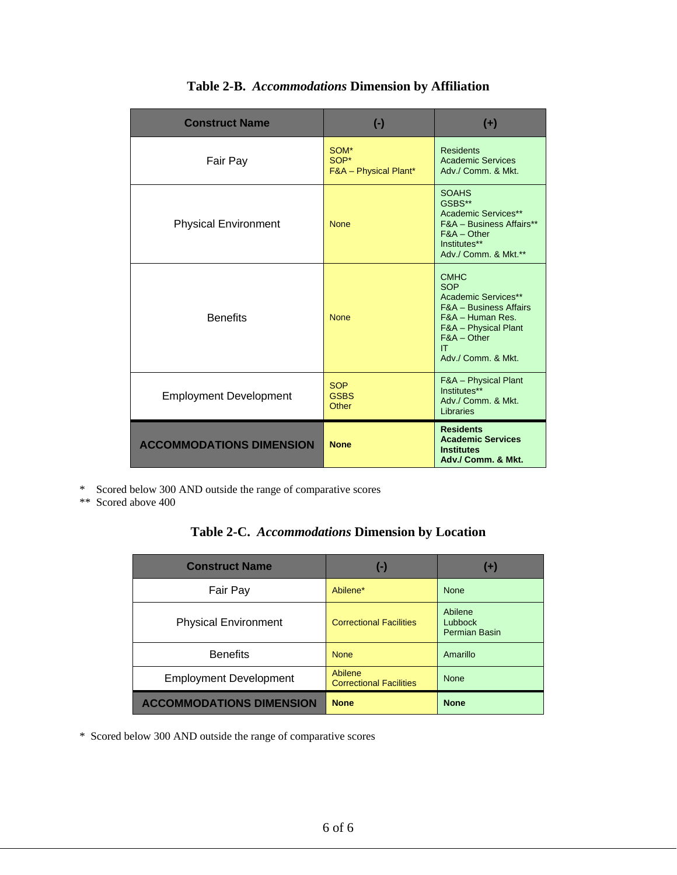| <b>Construct Name</b>           | $(-)$                                            | $(+)$                                                                                                                                                                          |
|---------------------------------|--------------------------------------------------|--------------------------------------------------------------------------------------------------------------------------------------------------------------------------------|
| Fair Pay                        | SOM*<br>SOP*<br><b>F&amp;A</b> - Physical Plant* | <b>Residents</b><br><b>Academic Services</b><br>Adv./ Comm. & Mkt.                                                                                                             |
| <b>Physical Environment</b>     | <b>None</b>                                      | <b>SOAHS</b><br>GSBS**<br>Academic Services**<br>F&A - Business Affairs**<br>$F&A$ – Other<br>Institutes**<br>Adv./ Comm. & Mkt.**                                             |
| <b>Benefits</b>                 | <b>None</b>                                      | <b>CMHC</b><br><b>SOP</b><br>Academic Services**<br><b>F&amp;A</b> - Business Affairs<br>F&A - Human Res.<br>F&A - Physical Plant<br>$F&A$ – Other<br>IT<br>Adv./ Comm. & Mkt. |
| <b>Employment Development</b>   | <b>SOP</b><br><b>GSBS</b><br>Other               | F&A - Physical Plant<br>Institutes**<br>Adv./ Comm. & Mkt.<br>Libraries                                                                                                        |
| <b>ACCOMMODATIONS DIMENSION</b> | <b>None</b>                                      | <b>Residents</b><br><b>Academic Services</b><br><b>Institutes</b><br>Adv./ Comm. & Mkt.                                                                                        |

**Table 2-B.** *Accommodations* **Dimension by Affiliation** 

\* Scored below 300 AND outside the range of comparative scores

\*\* Scored above 400

| Table 2-C. Accommodations Dimension by Location |  |  |
|-------------------------------------------------|--|--|
|-------------------------------------------------|--|--|

| <b>Construct Name</b>           | $(-)$                                     | $(+)$                               |
|---------------------------------|-------------------------------------------|-------------------------------------|
| Fair Pay                        | Abilene*                                  | <b>None</b>                         |
| <b>Physical Environment</b>     | <b>Correctional Facilities</b>            | Abilene<br>Lubbock<br>Permian Basin |
| <b>Benefits</b>                 | <b>None</b>                               | Amarillo                            |
| <b>Employment Development</b>   | Abilene<br><b>Correctional Facilities</b> | <b>None</b>                         |
| <b>ACCOMMODATIONS DIMENSION</b> | <b>None</b>                               | <b>None</b>                         |

\* Scored below 300 AND outside the range of comparative scores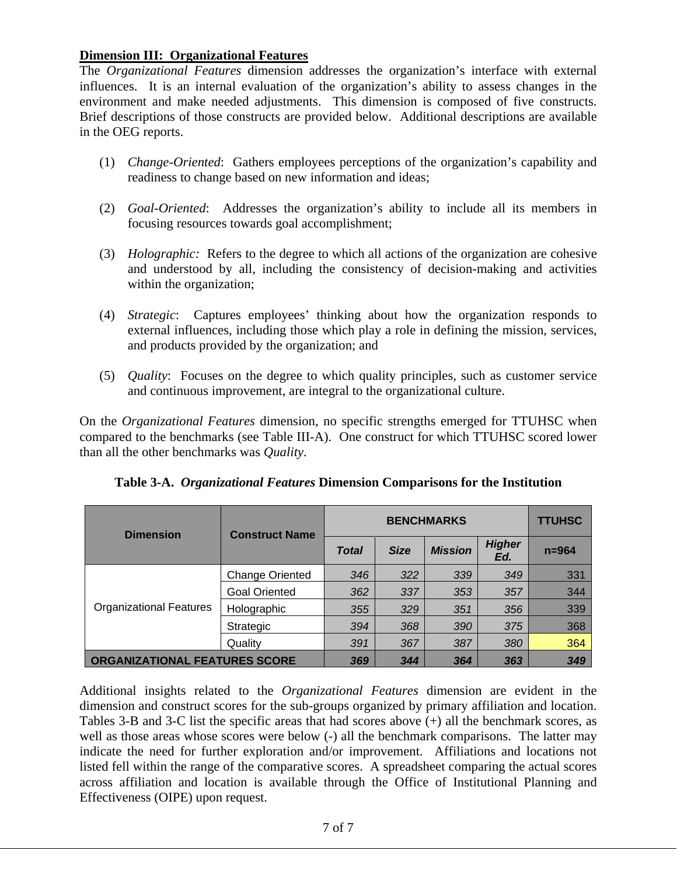#### **Dimension III: Organizational Features**

The *Organizational Features* dimension addresses the organization's interface with external influences. It is an internal evaluation of the organization's ability to assess changes in the environment and make needed adjustments. This dimension is composed of five constructs. Brief descriptions of those constructs are provided below. Additional descriptions are available in the OEG reports.

- (1) *Change-Oriented*: Gathers employees perceptions of the organization's capability and readiness to change based on new information and ideas;
- (2) *Goal-Oriented*: Addresses the organization's ability to include all its members in focusing resources towards goal accomplishment;
- (3) *Holographic:* Refers to the degree to which all actions of the organization are cohesive and understood by all, including the consistency of decision-making and activities within the organization;
- (4) *Strategic*: Captures employees' thinking about how the organization responds to external influences, including those which play a role in defining the mission, services, and products provided by the organization; and
- (5) *Quality*: Focuses on the degree to which quality principles, such as customer service and continuous improvement, are integral to the organizational culture.

On the *Organizational Features* dimension, no specific strengths emerged for TTUHSC when compared to the benchmarks (see Table III-A). One construct for which TTUHSC scored lower than all the other benchmarks was *Quality*.

| <b>Dimension</b>                     | <b>Construct Name</b>  | <b>BENCHMARKS</b> |             |                |                      | <b>TTUHSC</b> |
|--------------------------------------|------------------------|-------------------|-------------|----------------|----------------------|---------------|
|                                      |                        | <b>Total</b>      | <b>Size</b> | <b>Mission</b> | <b>Higher</b><br>Ed. | $n = 964$     |
|                                      | <b>Change Oriented</b> | 346               | 322         | 339            | 349                  | 331           |
|                                      | <b>Goal Oriented</b>   | 362               | 337         | 353            | 357                  | 344           |
| <b>Organizational Features</b>       | Holographic            | 355               | 329         | 351            | 356                  | 339           |
|                                      | Strategic              | 394               | 368         | 390            | 375                  | 368           |
|                                      | Quality                | 391               | 367         | 387            | 380                  | 364           |
| <b>ORGANIZATIONAL FEATURES SCORE</b> |                        | 369               | 344         | 364            | 363                  | 349           |

**Table 3-A.** *Organizational Features* **Dimension Comparisons for the Institution** 

Additional insights related to the *Organizational Features* dimension are evident in the dimension and construct scores for the sub-groups organized by primary affiliation and location. Tables 3-B and 3-C list the specific areas that had scores above (+) all the benchmark scores, as well as those areas whose scores were below (-) all the benchmark comparisons. The latter may indicate the need for further exploration and/or improvement. Affiliations and locations not listed fell within the range of the comparative scores. A spreadsheet comparing the actual scores across affiliation and location is available through the Office of Institutional Planning and Effectiveness (OIPE) upon request.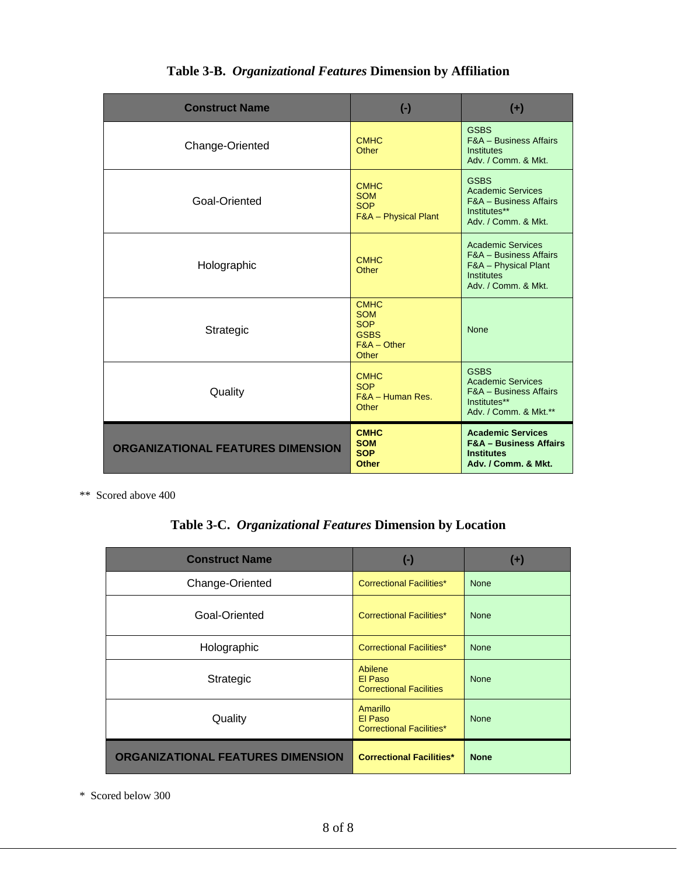| <b>Construct Name</b>                    | $(\cdot)$                                                                        | $(+)$                                                                                                                             |
|------------------------------------------|----------------------------------------------------------------------------------|-----------------------------------------------------------------------------------------------------------------------------------|
| Change-Oriented                          | <b>CMHC</b><br>Other                                                             | <b>GSBS</b><br><b>F&amp;A</b> - Business Affairs<br><b>Institutes</b><br>Adv. / Comm. & Mkt.                                      |
| Goal-Oriented                            | <b>CMHC</b><br><b>SOM</b><br><b>SOP</b><br>F&A - Physical Plant                  | <b>GSBS</b><br><b>Academic Services</b><br><b>F&amp;A - Business Affairs</b><br>Institutes**<br>Adv. / Comm. & Mkt.               |
| Holographic                              | <b>CMHC</b><br>Other                                                             | <b>Academic Services</b><br><b>F&amp;A</b> - Business Affairs<br>F&A - Physical Plant<br><b>Institutes</b><br>Adv. / Comm. & Mkt. |
| Strategic                                | <b>CMHC</b><br><b>SOM</b><br><b>SOP</b><br><b>GSBS</b><br>$F&A$ – Other<br>Other | <b>None</b>                                                                                                                       |
| Quality                                  | <b>CMHC</b><br><b>SOP</b><br>F&A - Human Res.<br>Other                           | <b>GSBS</b><br><b>Academic Services</b><br><b>F&amp;A - Business Affairs</b><br>Institutes**<br>Adv. / Comm. & Mkt.**             |
| <b>ORGANIZATIONAL FEATURES DIMENSION</b> | <b>CMHC</b><br><b>SOM</b><br><b>SOP</b><br><b>Other</b>                          | <b>Academic Services</b><br><b>F&amp;A - Business Affairs</b><br><b>Institutes</b><br>Adv. / Comm. & Mkt.                         |

### **Table 3-B.** *Organizational Features* **Dimension by Affiliation**

\*\* Scored above 400

## **Table 3-C.** *Organizational Features* **Dimension by Location**

| <b>Construct Name</b>                    | $(\textnormal{-})$                                     | $(+)$       |
|------------------------------------------|--------------------------------------------------------|-------------|
| Change-Oriented                          | <b>Correctional Facilities*</b>                        | <b>None</b> |
| Goal-Oriented                            | <b>Correctional Facilities*</b>                        | <b>None</b> |
| Holographic                              | <b>Correctional Facilities*</b>                        | <b>None</b> |
| Strategic                                | Abilene<br>El Paso<br><b>Correctional Facilities</b>   | <b>None</b> |
| Quality                                  | Amarillo<br>El Paso<br><b>Correctional Facilities*</b> | <b>None</b> |
| <b>ORGANIZATIONAL FEATURES DIMENSION</b> | <b>Correctional Facilities*</b>                        | <b>None</b> |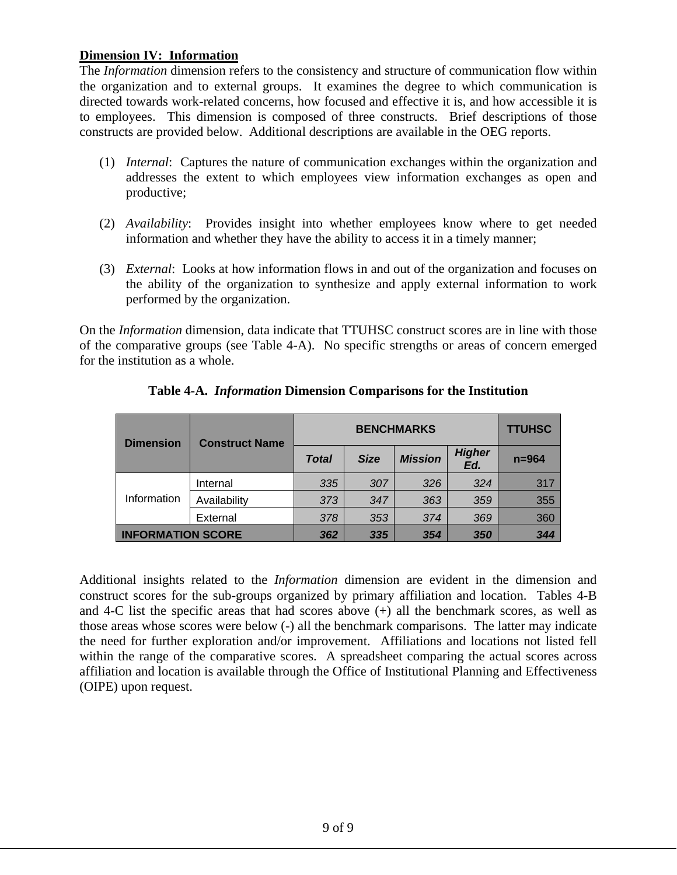#### **Dimension IV: Information**

The *Information* dimension refers to the consistency and structure of communication flow within the organization and to external groups. It examines the degree to which communication is directed towards work-related concerns, how focused and effective it is, and how accessible it is to employees. This dimension is composed of three constructs. Brief descriptions of those constructs are provided below. Additional descriptions are available in the OEG reports.

- (1) *Internal*: Captures the nature of communication exchanges within the organization and addresses the extent to which employees view information exchanges as open and productive;
- (2) *Availability*: Provides insight into whether employees know where to get needed information and whether they have the ability to access it in a timely manner;
- (3) *External*: Looks at how information flows in and out of the organization and focuses on the ability of the organization to synthesize and apply external information to work performed by the organization.

On the *Information* dimension, data indicate that TTUHSC construct scores are in line with those of the comparative groups (see Table 4-A). No specific strengths or areas of concern emerged for the institution as a whole.

| <b>Dimension</b>         | <b>Construct Name</b> |              | <b>TTUHSC</b> |                |                      |           |
|--------------------------|-----------------------|--------------|---------------|----------------|----------------------|-----------|
|                          |                       | <b>Total</b> | <b>Size</b>   | <b>Mission</b> | <b>Higher</b><br>Ed. | $n = 964$ |
| Information              | Internal              | 335          | 307           | 326            | 324                  | 317       |
|                          | Availability          | 373          | 347           | 363            | 359                  | 355       |
|                          | External              | 378          | 353           | 374            | 369                  | 360       |
| <b>INFORMATION SCORE</b> |                       | 362          | 335           | 354            | 350                  | 344       |

#### **Table 4-A.** *Information* **Dimension Comparisons for the Institution**

Additional insights related to the *Information* dimension are evident in the dimension and construct scores for the sub-groups organized by primary affiliation and location. Tables 4-B and 4-C list the specific areas that had scores above (+) all the benchmark scores, as well as those areas whose scores were below (-) all the benchmark comparisons. The latter may indicate the need for further exploration and/or improvement. Affiliations and locations not listed fell within the range of the comparative scores. A spreadsheet comparing the actual scores across affiliation and location is available through the Office of Institutional Planning and Effectiveness (OIPE) upon request.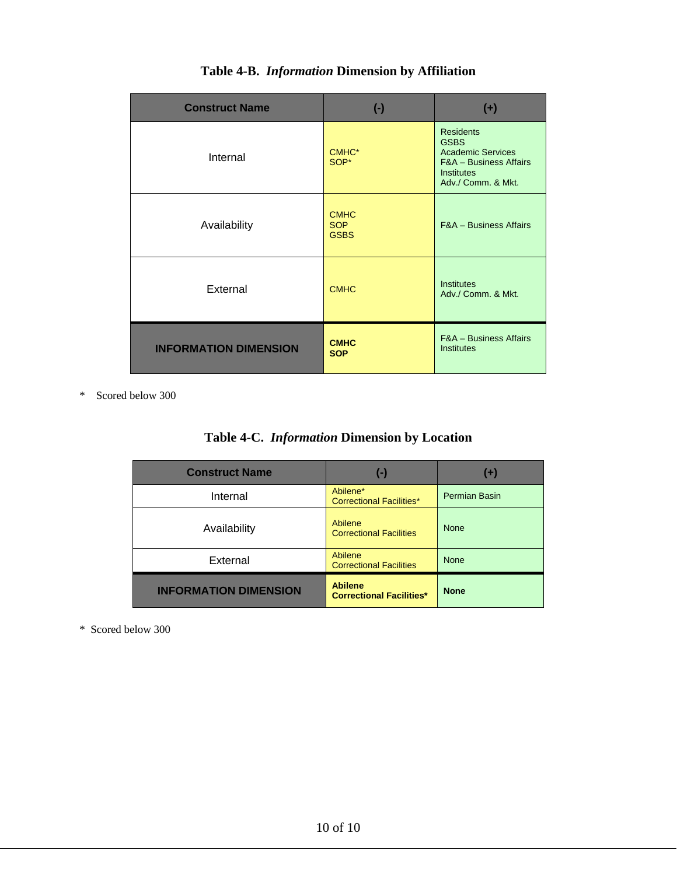| <b>Construct Name</b>        | $(\cdot)$                                | $(+)$                                                                                                                                       |
|------------------------------|------------------------------------------|---------------------------------------------------------------------------------------------------------------------------------------------|
| Internal                     | CMHC <sup>*</sup><br>SOP*                | <b>Residents</b><br><b>GSBS</b><br><b>Academic Services</b><br><b>F&amp;A - Business Affairs</b><br><b>Institutes</b><br>Adv./ Comm. & Mkt. |
| Availability                 | <b>CMHC</b><br><b>SOP</b><br><b>GSBS</b> | <b>F&amp;A</b> - Business Affairs                                                                                                           |
| External                     | <b>CMHC</b>                              | <b>Institutes</b><br>Adv./ Comm. & Mkt.                                                                                                     |
| <b>INFORMATION DIMENSION</b> | <b>CMHC</b><br><b>SOP</b>                | <b>F&amp;A - Business Affairs</b><br><b>Institutes</b>                                                                                      |

## **Table 4-B.** *Information* **Dimension by Affiliation**

\* Scored below 300

| Table 4-C. <i>Information</i> Dimension by Location |  |  |
|-----------------------------------------------------|--|--|

| <b>Construct Name</b>        | $\left( -\right)$                                 | $(+)$         |
|------------------------------|---------------------------------------------------|---------------|
| Internal                     | Abilene*<br><b>Correctional Facilities*</b>       | Permian Basin |
| Availability                 | Abilene<br><b>Correctional Facilities</b>         | <b>None</b>   |
| External                     | Abilene<br><b>Correctional Facilities</b>         | <b>None</b>   |
| <b>INFORMATION DIMENSION</b> | <b>Abilene</b><br><b>Correctional Facilities*</b> | <b>None</b>   |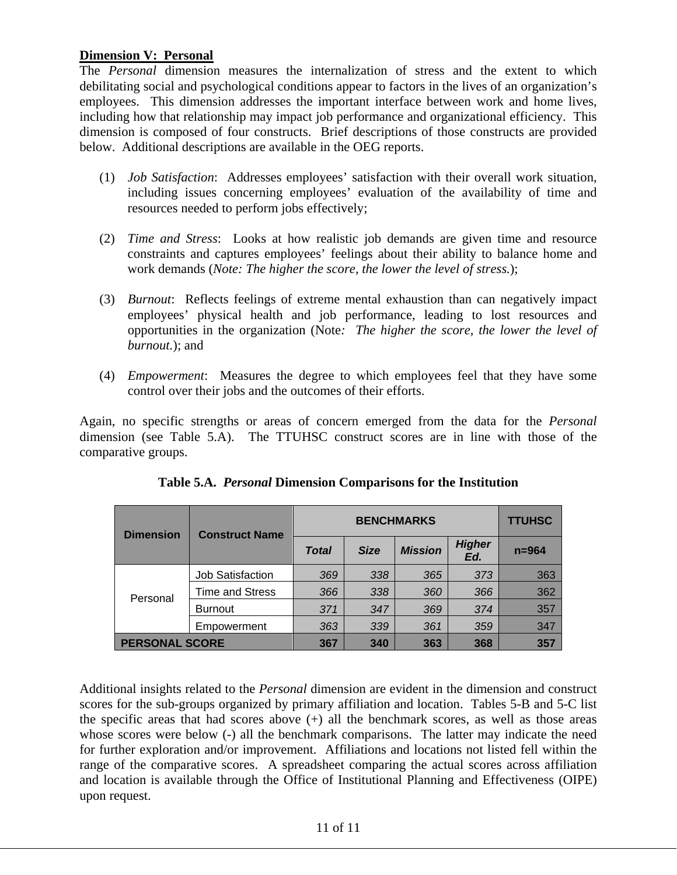#### **Dimension V: Personal**

The *Personal* dimension measures the internalization of stress and the extent to which debilitating social and psychological conditions appear to factors in the lives of an organization's employees. This dimension addresses the important interface between work and home lives, including how that relationship may impact job performance and organizational efficiency. This dimension is composed of four constructs. Brief descriptions of those constructs are provided below. Additional descriptions are available in the OEG reports.

- (1) *Job Satisfaction*: Addresses employees' satisfaction with their overall work situation, including issues concerning employees' evaluation of the availability of time and resources needed to perform jobs effectively;
- (2) *Time and Stress*: Looks at how realistic job demands are given time and resource constraints and captures employees' feelings about their ability to balance home and work demands (*Note: The higher the score, the lower the level of stress.*);
- (3) *Burnout*: Reflects feelings of extreme mental exhaustion than can negatively impact employees' physical health and job performance, leading to lost resources and opportunities in the organization (Note*: The higher the score, the lower the level of burnout.*); and
- (4) *Empowerment*: Measures the degree to which employees feel that they have some control over their jobs and the outcomes of their efforts.

Again, no specific strengths or areas of concern emerged from the data for the *Personal* dimension (see Table 5.A). The TTUHSC construct scores are in line with those of the comparative groups.

| <b>Dimension</b>      | <b>Construct Name</b>   | <b>BENCHMARKS</b> |             |                |                      | <b>TTUHSC</b> |
|-----------------------|-------------------------|-------------------|-------------|----------------|----------------------|---------------|
|                       |                         | <b>Total</b>      | <b>Size</b> | <b>Mission</b> | <b>Higher</b><br>Ed. | $n = 964$     |
| Personal              | <b>Job Satisfaction</b> | 369               | 338         | 365            | 373                  | 363           |
|                       | <b>Time and Stress</b>  | 366               | 338         | 360            | 366                  | 362           |
|                       | <b>Burnout</b>          | 371               | 347         | 369            | 374                  | 357           |
|                       | Empowerment             | 363               | 339         | 361            | 359                  | 347           |
| <b>PERSONAL SCORE</b> |                         | 367<br>340<br>363 |             | 368            | 357                  |               |

Additional insights related to the *Personal* dimension are evident in the dimension and construct scores for the sub-groups organized by primary affiliation and location. Tables 5-B and 5-C list the specific areas that had scores above  $(+)$  all the benchmark scores, as well as those areas whose scores were below (-) all the benchmark comparisons. The latter may indicate the need for further exploration and/or improvement. Affiliations and locations not listed fell within the range of the comparative scores. A spreadsheet comparing the actual scores across affiliation and location is available through the Office of Institutional Planning and Effectiveness (OIPE) upon request.